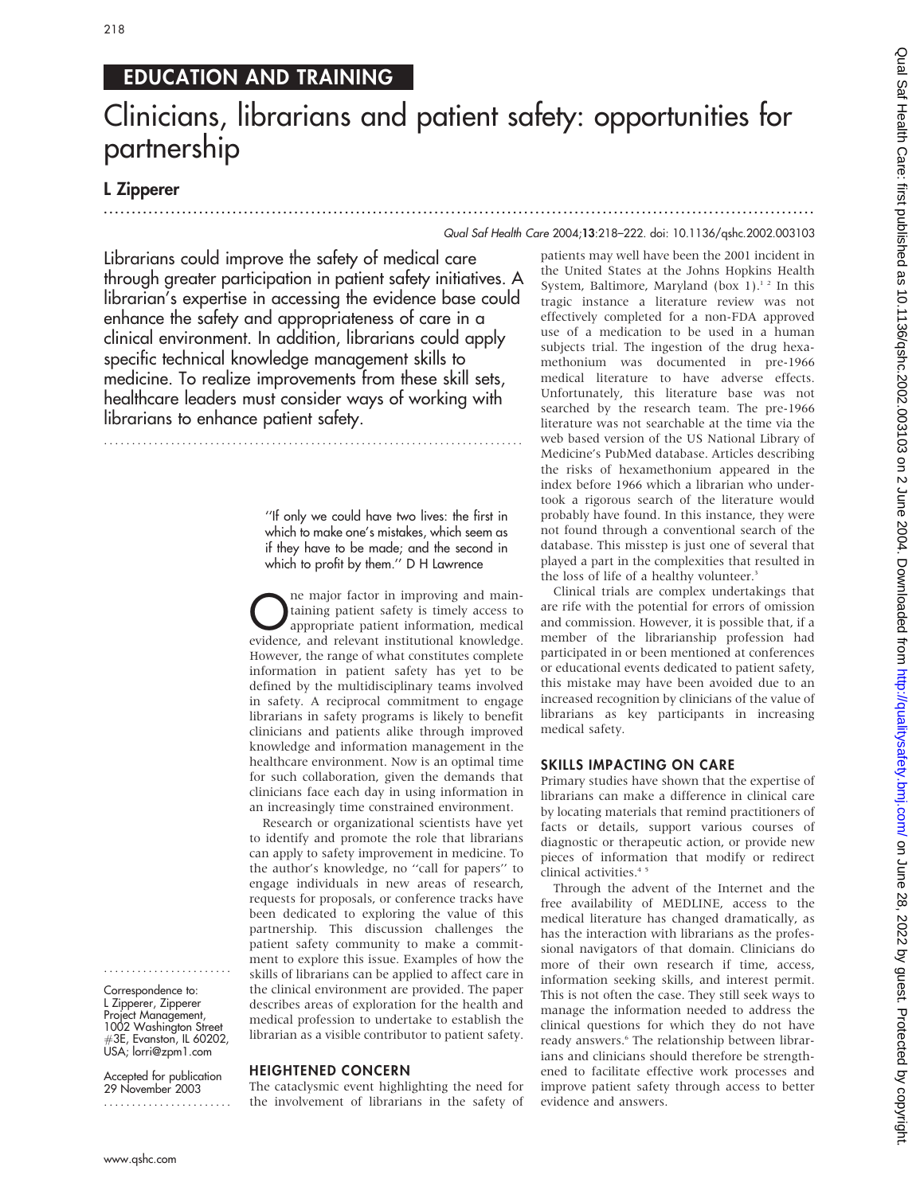## EDUCATION AND TRAINING

# Clinicians, librarians and patient safety: opportunities for partnership

## L Zipperer

#### Qual Saf Health Care 2004;13:218–222. doi: 10.1136/qshc.2002.003103

...............................................................................................................................

Librarians could improve the safety of medical care through greater participation in patient safety initiatives. A librarian's expertise in accessing the evidence base could enhance the safety and appropriateness of care in a clinical environment. In addition, librarians could apply specific technical knowledge management skills to medicine. To realize improvements from these skill sets, healthcare leaders must consider ways of working with librarians to enhance patient safety.

...........................................................................

''If only we could have two lives: the first in which to make one's mistakes, which seem as if they have to be made; and the second in which to profit by them.'' D H Lawrence

The major factor in improving and main-<br>taining patient safety is timely access to<br>appropriate patient information, medical<br>avidance, and relayest institutional knowledge taining patient safety is timely access to appropriate patient information, medical evidence, and relevant institutional knowledge. However, the range of what constitutes complete information in patient safety has yet to be defined by the multidisciplinary teams involved in safety. A reciprocal commitment to engage librarians in safety programs is likely to benefit clinicians and patients alike through improved knowledge and information management in the healthcare environment. Now is an optimal time for such collaboration, given the demands that clinicians face each day in using information in an increasingly time constrained environment.

Research or organizational scientists have yet to identify and promote the role that librarians can apply to safety improvement in medicine. To the author's knowledge, no ''call for papers'' to engage individuals in new areas of research, requests for proposals, or conference tracks have been dedicated to exploring the value of this partnership. This discussion challenges the patient safety community to make a commitment to explore this issue. Examples of how the skills of librarians can be applied to affect care in the clinical environment are provided. The paper describes areas of exploration for the health and medical profession to undertake to establish the librarian as a visible contributor to patient safety.

Correspondence to: L Zipperer, Zipperer Project Management, 1002 Washington Street #3E, Evanston, IL 60202, USA; lorri@zpm1.com

.......................

Accepted for publication 29 November 2003 .......................

## HEIGHTENED CONCERN

The cataclysmic event highlighting the need for the involvement of librarians in the safety of

patients may well have been the 2001 incident in the United States at the Johns Hopkins Health System, Baltimore, Maryland (box 1).<sup>12</sup> In this tragic instance a literature review was not effectively completed for a non-FDA approved use of a medication to be used in a human subjects trial. The ingestion of the drug hexamethonium was documented in pre-1966 medical literature to have adverse effects. Unfortunately, this literature base was not searched by the research team. The pre-1966 literature was not searchable at the time via the web based version of the US National Library of Medicine's PubMed database. Articles describing the risks of hexamethonium appeared in the index before 1966 which a librarian who undertook a rigorous search of the literature would probably have found. In this instance, they were not found through a conventional search of the database. This misstep is just one of several that played a part in the complexities that resulted in the loss of life of a healthy volunteer.<sup>3</sup>

Clinical trials are complex undertakings that are rife with the potential for errors of omission and commission. However, it is possible that, if a member of the librarianship profession had participated in or been mentioned at conferences or educational events dedicated to patient safety, this mistake may have been avoided due to an increased recognition by clinicians of the value of librarians as key participants in increasing medical safety.

#### SKILLS IMPACTING ON CARE

Primary studies have shown that the expertise of librarians can make a difference in clinical care by locating materials that remind practitioners of facts or details, support various courses of diagnostic or therapeutic action, or provide new pieces of information that modify or redirect clinical activities.<sup>45</sup>

Through the advent of the Internet and the free availability of MEDLINE, access to the medical literature has changed dramatically, as has the interaction with librarians as the professional navigators of that domain. Clinicians do more of their own research if time, access, information seeking skills, and interest permit. This is not often the case. They still seek ways to manage the information needed to address the clinical questions for which they do not have ready answers.<sup>6</sup> The relationship between librarians and clinicians should therefore be strengthened to facilitate effective work processes and improve patient safety through access to better evidence and answers.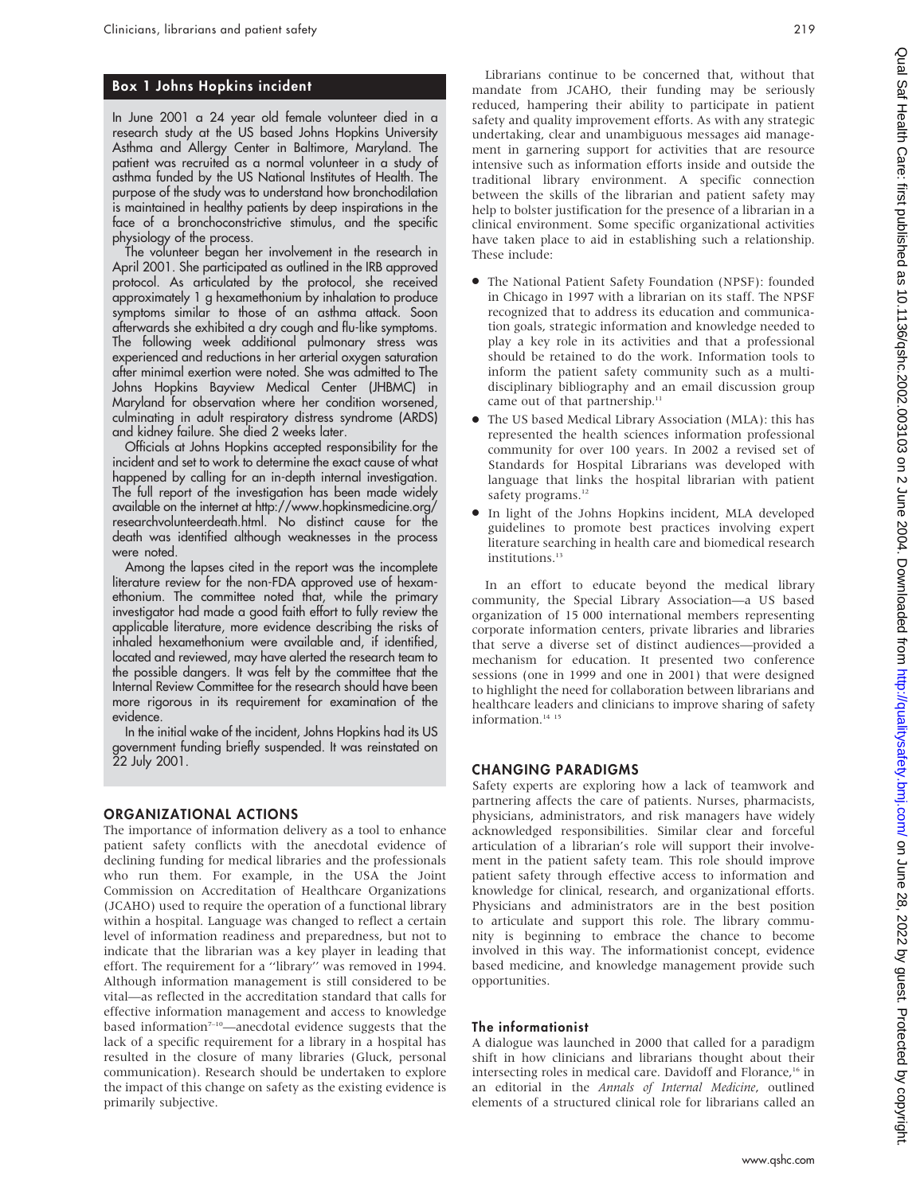#### Box 1 Johns Hopkins incident

In June 2001 a 24 year old female volunteer died in a research study at the US based Johns Hopkins University Asthma and Allergy Center in Baltimore, Maryland. The patient was recruited as a normal volunteer in a study of asthma funded by the US National Institutes of Health. The purpose of the study was to understand how bronchodilation is maintained in healthy patients by deep inspirations in the face of a bronchoconstrictive stimulus, and the specific physiology of the process.

The volunteer began her involvement in the research in April 2001. She participated as outlined in the IRB approved protocol. As articulated by the protocol, she received approximately 1 g hexamethonium by inhalation to produce symptoms similar to those of an asthma attack. Soon afterwards she exhibited a dry cough and flu-like symptoms. The following week additional pulmonary stress was experienced and reductions in her arterial oxygen saturation after minimal exertion were noted. She was admitted to The Johns Hopkins Bayview Medical Center (JHBMC) in Maryland for observation where her condition worsened, culminating in adult respiratory distress syndrome (ARDS) and kidney failure. She died 2 weeks later.

Officials at Johns Hopkins accepted responsibility for the incident and set to work to determine the exact cause of what happened by calling for an in-depth internal investigation. The full report of the investigation has been made widely available on the internet at http://www.hopkinsmedicine.org/ researchvolunteerdeath.html. No distinct cause for the death was identified although weaknesses in the process were noted.

Among the lapses cited in the report was the incomplete literature review for the non-FDA approved use of hexamethonium. The committee noted that, while the primary investigator had made a good faith effort to fully review the applicable literature, more evidence describing the risks of inhaled hexamethonium were available and, if identified, located and reviewed, may have alerted the research team to the possible dangers. It was felt by the committee that the Internal Review Committee for the research should have been more rigorous in its requirement for examination of the evidence.

In the initial wake of the incident, Johns Hopkins had its US government funding briefly suspended. It was reinstated on 22 July 2001.

#### ORGANIZATIONAL ACTIONS

The importance of information delivery as a tool to enhance patient safety conflicts with the anecdotal evidence of declining funding for medical libraries and the professionals who run them. For example, in the USA the Joint Commission on Accreditation of Healthcare Organizations (JCAHO) used to require the operation of a functional library within a hospital. Language was changed to reflect a certain level of information readiness and preparedness, but not to indicate that the librarian was a key player in leading that effort. The requirement for a ''library'' was removed in 1994. Although information management is still considered to be vital—as reflected in the accreditation standard that calls for effective information management and access to knowledge based information $7-10$ —anecdotal evidence suggests that the lack of a specific requirement for a library in a hospital has resulted in the closure of many libraries (Gluck, personal communication). Research should be undertaken to explore the impact of this change on safety as the existing evidence is primarily subjective.

Librarians continue to be concerned that, without that mandate from JCAHO, their funding may be seriously reduced, hampering their ability to participate in patient safety and quality improvement efforts. As with any strategic undertaking, clear and unambiguous messages aid management in garnering support for activities that are resource intensive such as information efforts inside and outside the traditional library environment. A specific connection between the skills of the librarian and patient safety may help to bolster justification for the presence of a librarian in a clinical environment. Some specific organizational activities have taken place to aid in establishing such a relationship. These include:

- The National Patient Safety Foundation (NPSF): founded in Chicago in 1997 with a librarian on its staff. The NPSF recognized that to address its education and communication goals, strategic information and knowledge needed to play a key role in its activities and that a professional should be retained to do the work. Information tools to inform the patient safety community such as a multidisciplinary bibliography and an email discussion group came out of that partnership.<sup>11</sup>
- $\bullet$  The US based Medical Library Association (MLA): this has represented the health sciences information professional community for over 100 years. In 2002 a revised set of Standards for Hospital Librarians was developed with language that links the hospital librarian with patient safety programs.<sup>12</sup>
- $\bullet$  In light of the Johns Hopkins incident, MLA developed guidelines to promote best practices involving expert literature searching in health care and biomedical research institutions.<sup>13</sup>

In an effort to educate beyond the medical library community, the Special Library Association—a US based organization of 15 000 international members representing corporate information centers, private libraries and libraries that serve a diverse set of distinct audiences—provided a mechanism for education. It presented two conference sessions (one in 1999 and one in 2001) that were designed to highlight the need for collaboration between librarians and healthcare leaders and clinicians to improve sharing of safety information.<sup>14</sup><sup>15</sup>

#### CHANGING PARADIGMS

Safety experts are exploring how a lack of teamwork and partnering affects the care of patients. Nurses, pharmacists, physicians, administrators, and risk managers have widely acknowledged responsibilities. Similar clear and forceful articulation of a librarian's role will support their involvement in the patient safety team. This role should improve patient safety through effective access to information and knowledge for clinical, research, and organizational efforts. Physicians and administrators are in the best position to articulate and support this role. The library community is beginning to embrace the chance to become involved in this way. The informationist concept, evidence based medicine, and knowledge management provide such opportunities.

#### The informationist

A dialogue was launched in 2000 that called for a paradigm shift in how clinicians and librarians thought about their intersecting roles in medical care. Davidoff and Florance,<sup>16</sup> in an editorial in the Annals of Internal Medicine, outlined elements of a structured clinical role for librarians called an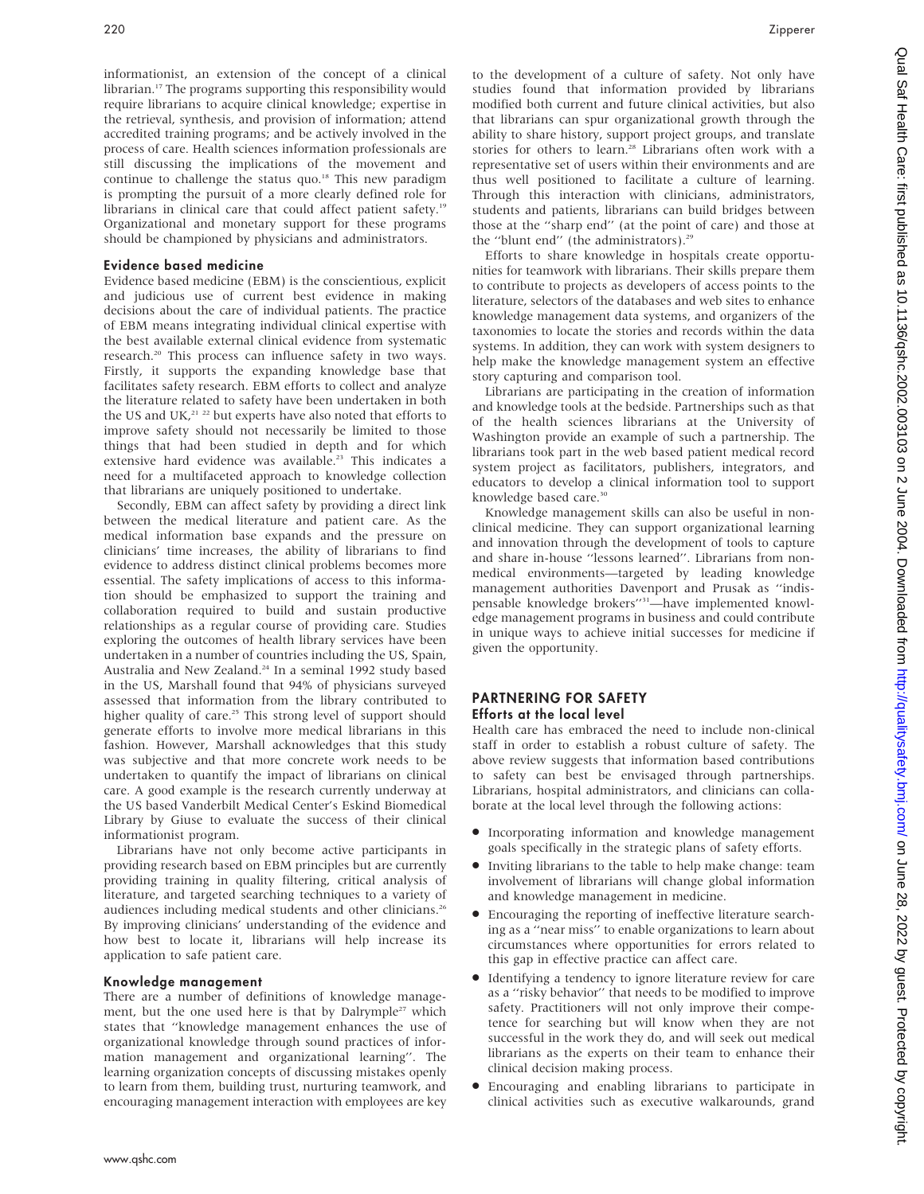informationist, an extension of the concept of a clinical librarian.17 The programs supporting this responsibility would require librarians to acquire clinical knowledge; expertise in the retrieval, synthesis, and provision of information; attend accredited training programs; and be actively involved in the process of care. Health sciences information professionals are still discussing the implications of the movement and continue to challenge the status quo. $18$  This new paradigm is prompting the pursuit of a more clearly defined role for librarians in clinical care that could affect patient safety.<sup>19</sup> Organizational and monetary support for these programs should be championed by physicians and administrators.

#### Evidence based medicine

Evidence based medicine (EBM) is the conscientious, explicit and judicious use of current best evidence in making decisions about the care of individual patients. The practice of EBM means integrating individual clinical expertise with the best available external clinical evidence from systematic research.<sup>20</sup> This process can influence safety in two ways. Firstly, it supports the expanding knowledge base that facilitates safety research. EBM efforts to collect and analyze the literature related to safety have been undertaken in both the US and UK,<sup>21</sup> <sup>22</sup> but experts have also noted that efforts to improve safety should not necessarily be limited to those things that had been studied in depth and for which extensive hard evidence was available.<sup>23</sup> This indicates a need for a multifaceted approach to knowledge collection that librarians are uniquely positioned to undertake.

Secondly, EBM can affect safety by providing a direct link between the medical literature and patient care. As the medical information base expands and the pressure on clinicians' time increases, the ability of librarians to find evidence to address distinct clinical problems becomes more essential. The safety implications of access to this information should be emphasized to support the training and collaboration required to build and sustain productive relationships as a regular course of providing care. Studies exploring the outcomes of health library services have been undertaken in a number of countries including the US, Spain, Australia and New Zealand.<sup>24</sup> In a seminal 1992 study based in the US, Marshall found that 94% of physicians surveyed assessed that information from the library contributed to higher quality of care.<sup>25</sup> This strong level of support should generate efforts to involve more medical librarians in this fashion. However, Marshall acknowledges that this study was subjective and that more concrete work needs to be undertaken to quantify the impact of librarians on clinical care. A good example is the research currently underway at the US based Vanderbilt Medical Center's Eskind Biomedical Library by Giuse to evaluate the success of their clinical informationist program.

Librarians have not only become active participants in providing research based on EBM principles but are currently providing training in quality filtering, critical analysis of literature, and targeted searching techniques to a variety of audiences including medical students and other clinicians.<sup>26</sup> By improving clinicians' understanding of the evidence and how best to locate it, librarians will help increase its application to safe patient care.

#### Knowledge management

There are a number of definitions of knowledge management, but the one used here is that by Dalrymple<sup>27</sup> which states that ''knowledge management enhances the use of organizational knowledge through sound practices of information management and organizational learning''. The learning organization concepts of discussing mistakes openly to learn from them, building trust, nurturing teamwork, and encouraging management interaction with employees are key to the development of a culture of safety. Not only have studies found that information provided by librarians modified both current and future clinical activities, but also that librarians can spur organizational growth through the ability to share history, support project groups, and translate stories for others to learn.<sup>28</sup> Librarians often work with a representative set of users within their environments and are thus well positioned to facilitate a culture of learning. Through this interaction with clinicians, administrators, students and patients, librarians can build bridges between those at the ''sharp end'' (at the point of care) and those at the "blunt end" (the administrators).<sup>29</sup>

Efforts to share knowledge in hospitals create opportunities for teamwork with librarians. Their skills prepare them to contribute to projects as developers of access points to the literature, selectors of the databases and web sites to enhance knowledge management data systems, and organizers of the taxonomies to locate the stories and records within the data systems. In addition, they can work with system designers to help make the knowledge management system an effective story capturing and comparison tool.

Librarians are participating in the creation of information and knowledge tools at the bedside. Partnerships such as that of the health sciences librarians at the University of Washington provide an example of such a partnership. The librarians took part in the web based patient medical record system project as facilitators, publishers, integrators, and educators to develop a clinical information tool to support knowledge based care.<sup>30</sup>

Knowledge management skills can also be useful in nonclinical medicine. They can support organizational learning and innovation through the development of tools to capture and share in-house ''lessons learned''. Librarians from nonmedical environments—targeted by leading knowledge management authorities Davenport and Prusak as ''indispensable knowledge brokers''31—have implemented knowledge management programs in business and could contribute in unique ways to achieve initial successes for medicine if given the opportunity.

### PARTNERING FOR SAFETY Efforts at the local level

Health care has embraced the need to include non-clinical staff in order to establish a robust culture of safety. The above review suggests that information based contributions to safety can best be envisaged through partnerships. Librarians, hospital administrators, and clinicians can collaborate at the local level through the following actions:

- $\bullet$  Incorporating information and knowledge management goals specifically in the strategic plans of safety efforts.
- N Inviting librarians to the table to help make change: team involvement of librarians will change global information and knowledge management in medicine.
- N Encouraging the reporting of ineffective literature searching as a ''near miss'' to enable organizations to learn about circumstances where opportunities for errors related to this gap in effective practice can affect care.
- N Identifying a tendency to ignore literature review for care as a ''risky behavior'' that needs to be modified to improve safety. Practitioners will not only improve their competence for searching but will know when they are not successful in the work they do, and will seek out medical librarians as the experts on their team to enhance their clinical decision making process.
- N Encouraging and enabling librarians to participate in clinical activities such as executive walkarounds, grand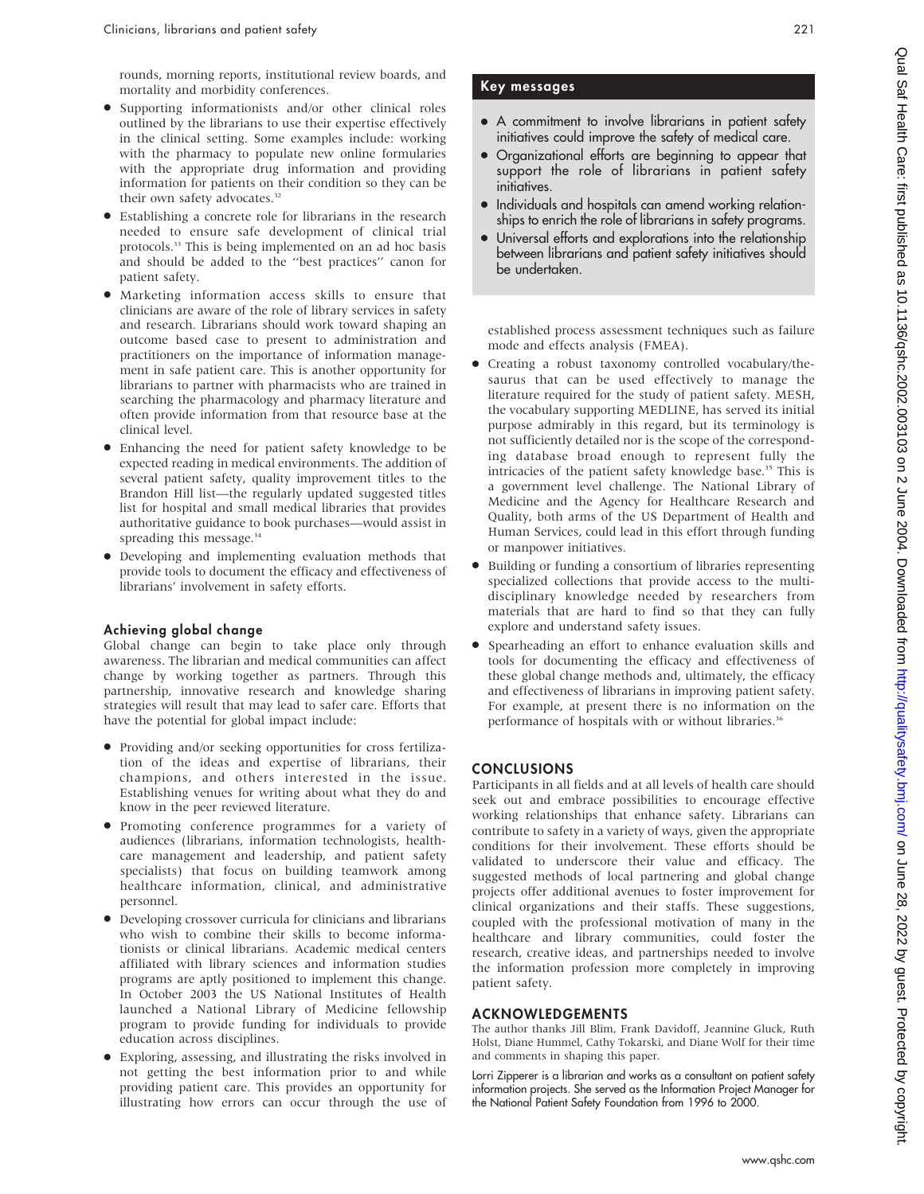rounds, morning reports, institutional review boards, and mortality and morbidity conferences.

- N Supporting informationists and/or other clinical roles outlined by the librarians to use their expertise effectively in the clinical setting. Some examples include: working with the pharmacy to populate new online formularies with the appropriate drug information and providing information for patients on their condition so they can be their own safety advocates.<sup>32</sup>
- N Establishing a concrete role for librarians in the research needed to ensure safe development of clinical trial protocols.<sup>33</sup> This is being implemented on an ad hoc basis and should be added to the ''best practices'' canon for patient safety.
- $\bullet$  Marketing information access skills to ensure that clinicians are aware of the role of library services in safety and research. Librarians should work toward shaping an outcome based case to present to administration and practitioners on the importance of information management in safe patient care. This is another opportunity for librarians to partner with pharmacists who are trained in searching the pharmacology and pharmacy literature and often provide information from that resource base at the clinical level.
- N Enhancing the need for patient safety knowledge to be expected reading in medical environments. The addition of several patient safety, quality improvement titles to the Brandon Hill list—the regularly updated suggested titles list for hospital and small medical libraries that provides authoritative guidance to book purchases—would assist in spreading this message.<sup>34</sup>
- N Developing and implementing evaluation methods that provide tools to document the efficacy and effectiveness of librarians' involvement in safety efforts.

## Achieving global change

Global change can begin to take place only through awareness. The librarian and medical communities can affect change by working together as partners. Through this partnership, innovative research and knowledge sharing strategies will result that may lead to safer care. Efforts that have the potential for global impact include:

- N Providing and/or seeking opportunities for cross fertilization of the ideas and expertise of librarians, their champions, and others interested in the issue. Establishing venues for writing about what they do and know in the peer reviewed literature.
- N Promoting conference programmes for a variety of audiences (librarians, information technologists, healthcare management and leadership, and patient safety specialists) that focus on building teamwork among healthcare information, clinical, and administrative personnel.
- N Developing crossover curricula for clinicians and librarians who wish to combine their skills to become informationists or clinical librarians. Academic medical centers affiliated with library sciences and information studies programs are aptly positioned to implement this change. In October 2003 the US National Institutes of Health launched a National Library of Medicine fellowship program to provide funding for individuals to provide education across disciplines.
- N Exploring, assessing, and illustrating the risks involved in not getting the best information prior to and while providing patient care. This provides an opportunity for illustrating how errors can occur through the use of

## Key messages

- A commitment to involve librarians in patient safety initiatives could improve the safety of medical care.
- Organizational efforts are beginning to appear that support the role of librarians in patient safety initiatives.
- Individuals and hospitals can amend working relationships to enrich the role of librarians in safety programs.
- Universal efforts and explorations into the relationship between librarians and patient safety initiatives should be undertaken.

established process assessment techniques such as failure mode and effects analysis (FMEA).

- $\bullet$  Creating a robust taxonomy controlled vocabulary/thesaurus that can be used effectively to manage the literature required for the study of patient safety. MESH, the vocabulary supporting MEDLINE, has served its initial purpose admirably in this regard, but its terminology is not sufficiently detailed nor is the scope of the corresponding database broad enough to represent fully the intricacies of the patient safety knowledge base.<sup>35</sup> This is a government level challenge. The National Library of Medicine and the Agency for Healthcare Research and Quality, both arms of the US Department of Health and Human Services, could lead in this effort through funding or manpower initiatives.
- N Building or funding a consortium of libraries representing specialized collections that provide access to the multidisciplinary knowledge needed by researchers from materials that are hard to find so that they can fully explore and understand safety issues.
- N Spearheading an effort to enhance evaluation skills and tools for documenting the efficacy and effectiveness of these global change methods and, ultimately, the efficacy and effectiveness of librarians in improving patient safety. For example, at present there is no information on the performance of hospitals with or without libraries.<sup>36</sup>

## CONCLUSIONS

Participants in all fields and at all levels of health care should seek out and embrace possibilities to encourage effective working relationships that enhance safety. Librarians can contribute to safety in a variety of ways, given the appropriate conditions for their involvement. These efforts should be validated to underscore their value and efficacy. The suggested methods of local partnering and global change projects offer additional avenues to foster improvement for clinical organizations and their staffs. These suggestions, coupled with the professional motivation of many in the healthcare and library communities, could foster the research, creative ideas, and partnerships needed to involve the information profession more completely in improving patient safety.

## ACKNOWLEDGEMENTS

The author thanks Jill Blim, Frank Davidoff, Jeannine Gluck, Ruth Holst, Diane Hummel, Cathy Tokarski, and Diane Wolf for their time and comments in shaping this paper.

Lorri Zipperer is a librarian and works as a consultant on patient safety information projects. She served as the Information Project Manager for the National Patient Safety Foundation from 1996 to 2000.